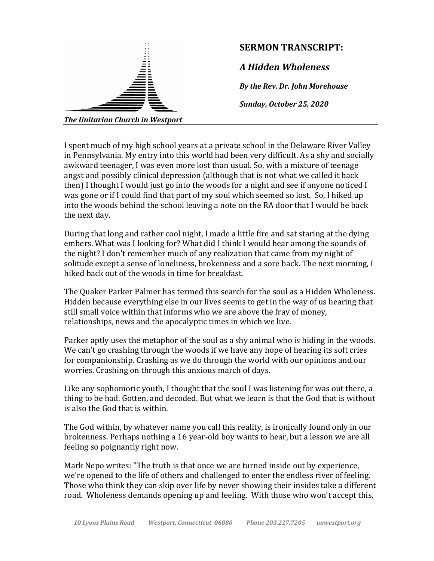

I spent much of my high school years at a private school in the Delaware River Valley in Pennsylvania. My entry into this world had been very difficult. As a shy and socially awkward teenager, I was even more lost than usual. So, with a mixture of teenage angst and possibly clinical depression (although that is not what we called it back then) I thought I would just go into the woods for a night and see if anyone noticed I was gone or if I could find that part of my soul which seemed so lost. So, I hiked up into the woods behind the school leaving a note on the RA door that I would be back the next day.

During that long and rather cool night, I made a little fire and sat staring at the dying embers. What was I looking for? What did I think I would hear among the sounds of the night? I don't remember much of any realization that came from my night of solitude except a sense of loneliness, brokenness and a sore back. The next morning, I hiked back out of the woods in time for breakfast.

The Quaker Parker Palmer has termed this search for the soul as a Hidden Wholeness. Hidden because everything else in our lives seems to get in the way of us hearing that still small voice within that informs who we are above the fray of money, relationships, news and the apocalyptic times in which we live.

Parker aptly uses the metaphor of the soul as a shy animal who is hiding in the woods. We can't go crashing through the woods if we have any hope of hearing its soft cries for companionship. Crashing as we do through the world with our opinions and our worries. Crashing on through this anxious march of days.

Like any sophomoric youth, I thought that the soul I was listening for was out there, a thing to be had. Gotten, and decoded. But what we learn is that the God that is without is also the God that is within.

The God within, by whatever name you call this reality, is ironically found only in our brokenness. Perhaps nothing a 16 year-old boy wants to hear, but a lesson we are all feeling so poignantly right now.

Mark Nepo writes: "The truth is that once we are turned inside out by experience, we're opened to the life of others and challenged to enter the endless river of feeling. Those who think they can skip over life by never showing their insides take a different road. Wholeness demands opening up and feeling. With those who won't accept this,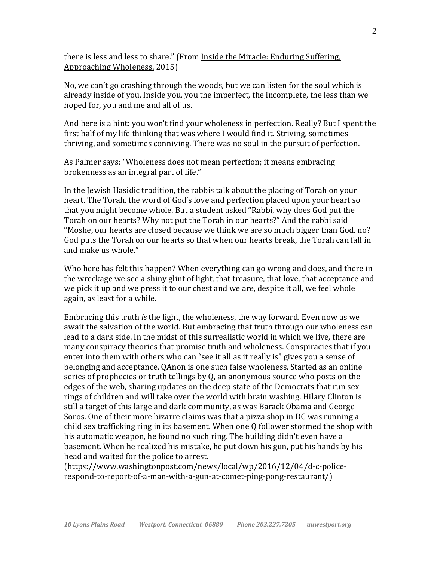there is less and less to share." (From Inside the Miracle: Enduring Suffering, Approaching Wholeness, 2015)

No, we can't go crashing through the woods, but we can listen for the soul which is already inside of you. Inside you, you the imperfect, the incomplete, the less than we hoped for, you and me and all of us.

And here is a hint: you won't find your wholeness in perfection. Really? But I spent the first half of my life thinking that was where I would find it. Striving, sometimes thriving, and sometimes conniving. There was no soul in the pursuit of perfection.

As Palmer says: "Wholeness does not mean perfection; it means embracing brokenness as an integral part of life."

In the Jewish Hasidic tradition, the rabbis talk about the placing of Torah on your heart. The Torah, the word of God's love and perfection placed upon your heart so that you might become whole. But a student asked "Rabbi, why does God put the Torah on our hearts? Why not put the Torah in our hearts?" And the rabbi said "Moshe, our hearts are closed because we think we are so much bigger than God, no? God puts the Torah on our hearts so that when our hearts break, the Torah can fall in and make us whole."

Who here has felt this happen? When everything can go wrong and does, and there in the wreckage we see a shiny glint of light, that treasure, that love, that acceptance and we pick it up and we press it to our chest and we are, despite it all, we feel whole again, as least for a while.

Embracing this truth *is* the light, the wholeness, the way forward. Even now as we await the salvation of the world. But embracing that truth through our wholeness can lead to a dark side. In the midst of this surrealistic world in which we live, there are many conspiracy theories that promise truth and wholeness. Conspiracies that if you enter into them with others who can "see it all as it really is" gives you a sense of belonging and acceptance. OAnon is one such false wholeness. Started as an online series of prophecies or truth tellings by  $Q$ , an anonymous source who posts on the edges of the web, sharing updates on the deep state of the Democrats that run sex rings of children and will take over the world with brain washing. Hilary Clinton is still a target of this large and dark community, as was Barack Obama and George Soros. One of their more bizarre claims was that a pizza shop in DC was running a child sex trafficking ring in its basement. When one Q follower stormed the shop with his automatic weapon, he found no such ring. The building didn't even have a basement. When he realized his mistake, he put down his gun, put his hands by his head and waited for the police to arrest.

(https://www.washingtonpost.com/news/local/wp/2016/12/04/d-c-policerespond-to-report-of-a-man-with-a-gun-at-comet-ping-pong-restaurant/)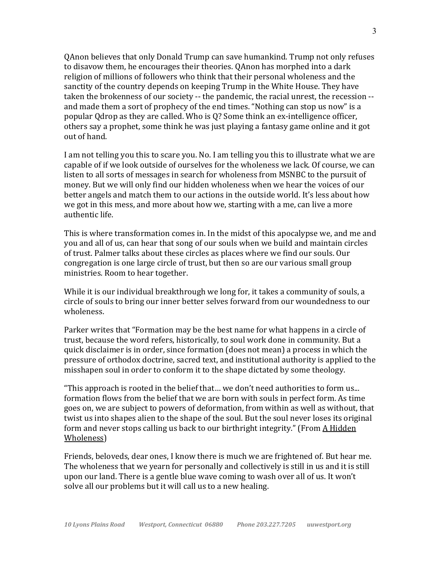QAnon believes that only Donald Trump can save humankind. Trump not only refuses to disavow them, he encourages their theories. QAnon has morphed into a dark religion of millions of followers who think that their personal wholeness and the sanctity of the country depends on keeping Trump in the White House. They have taken the brokenness of our society -- the pandemic, the racial unrest, the recession -and made them a sort of prophecy of the end times. "Nothing can stop us now" is a popular  $Q$ drop as they are called. Who is  $Q$ ? Some think an ex-intelligence officer, others say a prophet, some think he was just playing a fantasy game online and it got out of hand.

I am not telling you this to scare you. No. I am telling you this to illustrate what we are capable of if we look outside of ourselves for the wholeness we lack. Of course, we can listen to all sorts of messages in search for wholeness from MSNBC to the pursuit of money. But we will only find our hidden wholeness when we hear the voices of our better angels and match them to our actions in the outside world. It's less about how we got in this mess, and more about how we, starting with a me, can live a more authentic life.

This is where transformation comes in. In the midst of this apocalypse we, and me and you and all of us, can hear that song of our souls when we build and maintain circles of trust. Palmer talks about these circles as places where we find our souls. Our congregation is one large circle of trust, but then so are our various small group ministries. Room to hear together.

While it is our individual breakthrough we long for, it takes a community of souls, a circle of souls to bring our inner better selves forward from our woundedness to our wholeness.

Parker writes that "Formation may be the best name for what happens in a circle of trust, because the word refers, historically, to soul work done in community. But a quick disclaimer is in order, since formation (does not mean) a process in which the pressure of orthodox doctrine, sacred text, and institutional authority is applied to the misshapen soul in order to conform it to the shape dictated by some theology.

"This approach is rooted in the belief that... we don't need authorities to form us... formation flows from the belief that we are born with souls in perfect form. As time goes on, we are subject to powers of deformation, from within as well as without, that twist us into shapes alien to the shape of the soul. But the soul never loses its original form and never stops calling us back to our birthright integrity." (From  $\underline{A}$  Hidden Wholeness)

Friends, beloveds, dear ones, I know there is much we are frightened of. But hear me. The wholeness that we yearn for personally and collectively is still in us and it is still upon our land. There is a gentle blue wave coming to wash over all of us. It won't solve all our problems but it will call us to a new healing.